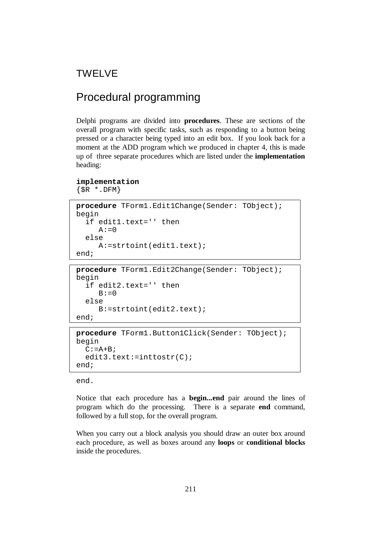# TWELVE

# Procedural programming

Delphi programs are divided into **procedures**. These are sections of the overall program with specific tasks, such as responding to a button being pressed or a character being typed into an edit box. If you look back for a moment at the ADD program which we produced in chapter 4, this is made up of three separate procedures which are listed under the **implementation**  heading:

```
implementation
```
 $\{SR * DFM\}$ 

```
procedure TForm1.Edit1Change(Sender: TObject); 
begin 
   if edit1.text='' then 
     A := 0 else 
      A:=strtoint(edit1.text); 
end;
```

```
procedure TForm1.Edit2Change(Sender: TObject); 
begin 
   if edit2.text='' then 
     B := 0 else 
      B:=strtoint(edit2.text); 
end;
```

```
procedure TForm1.Button1Click(Sender: TObject); 
begin 
  C:=A+B;edit3.text:=inttostr(C);
end;
```
end.

Notice that each procedure has a **begin...end** pair around the lines of program which do the processing. There is a separate **end** command, followed by a full stop, for the overall program.

When you carry out a block analysis you should draw an outer box around each procedure, as well as boxes around any **loops** or **conditional blocks** inside the procedures.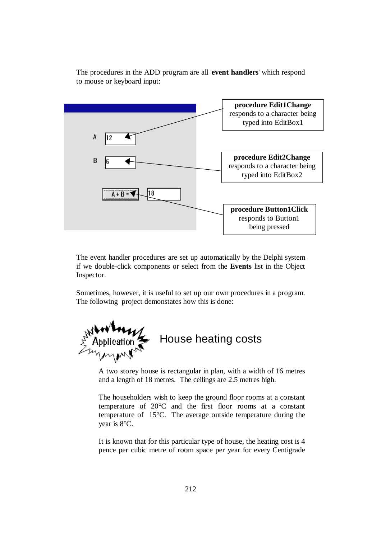

The procedures in the ADD program are all '**event handlers**' which respond to mouse or keyboard input:

The event handler procedures are set up automatically by the Delphi system if we double-click components or select from the **Events** list in the Object Inspector.

Sometimes, however, it is useful to set up our own procedures in a program. The following project demonstates how this is done:



A two storey house is rectangular in plan, with a width of 16 metres and a length of 18 metres. The ceilings are 2.5 metres high.

The householders wish to keep the ground floor rooms at a constant temperature of 20°C and the first floor rooms at a constant temperature of 15°C. The average outside temperature during the year is 8°C.

It is known that for this particular type of house, the heating cost is 4 pence per cubic metre of room space per year for every Centigrade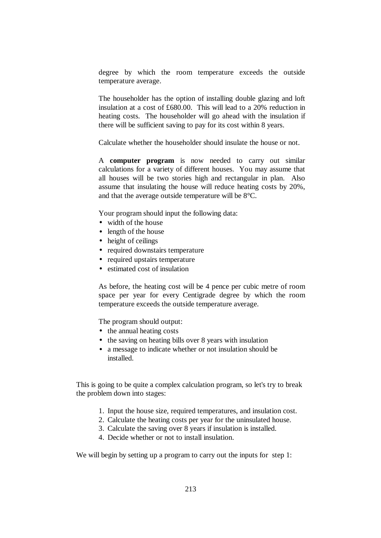degree by which the room temperature exceeds the outside temperature average.

The householder has the option of installing double glazing and loft insulation at a cost of £680.00. This will lead to a 20% reduction in heating costs. The householder will go ahead with the insulation if there will be sufficient saving to pay for its cost within 8 years.

Calculate whether the householder should insulate the house or not.

A **computer program** is now needed to carry out similar calculations for a variety of different houses. You may assume that all houses will be two stories high and rectangular in plan. Also assume that insulating the house will reduce heating costs by 20%, and that the average outside temperature will be 8°C.

Your program should input the following data:

- width of the house
- length of the house
- height of ceilings
- required downstairs temperature
- required upstairs temperature
- estimated cost of insulation

As before, the heating cost will be 4 pence per cubic metre of room space per year for every Centigrade degree by which the room temperature exceeds the outside temperature average.

The program should output:

- the annual heating costs
- the saving on heating bills over 8 years with insulation
- a message to indicate whether or not insulation should be installed.

This is going to be quite a complex calculation program, so let's try to break the problem down into stages:

- 1. Input the house size, required temperatures, and insulation cost.
- 2. Calculate the heating costs per year for the uninsulated house.
- 3. Calculate the saving over 8 years if insulation is installed.
- 4. Decide whether or not to install insulation.

We will begin by setting up a program to carry out the inputs for step 1: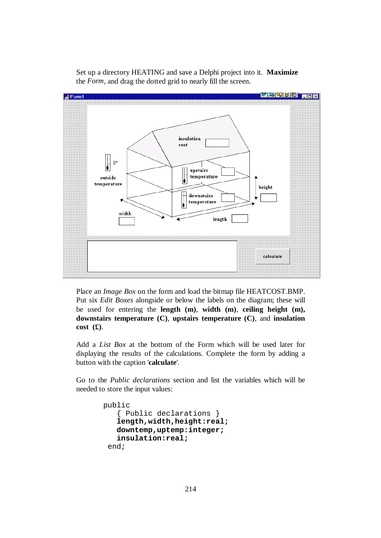

Set up a directory HEATING and save a Delphi project into it. **Maximize**  the *Form*, and drag the dotted grid to nearly fill the screen.

Place an *Image Box* on the form and load the bitmap file HEATCOST.BMP. Put six *Edit Boxes* alongside or below the labels on the diagram; these will be used for entering the **length (m)**, **width (m)**, **ceiling height (m), downstairs temperature (C)**, **upstairs temperature (C)**, and **insulation cost (£)**.

Add a *List Box* at the bottom of the Form which will be used later for displaying the results of the calculations. Complete the form by adding a button with the caption '**calculate**'.

Go to the *Public declarations* section and list the variables which will be needed to store the input values:

```
 public 
    { Public declarations } 
    length,width,height:real; 
    downtemp,uptemp:integer; 
    insulation:real; 
  end;
```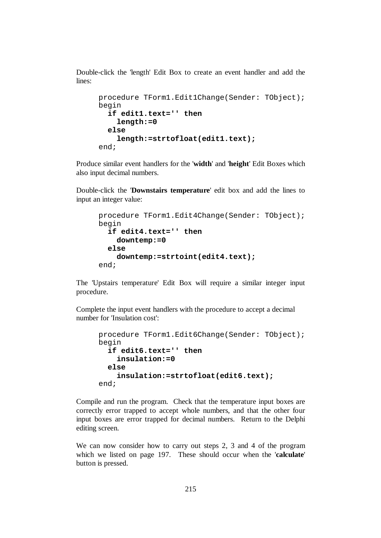Double-click the 'length' Edit Box to create an event handler and add the lines:

```
procedure TForm1.Edit1Change(Sender: TObject); 
begin 
   if edit1.text='' then 
     length:=0 
   else 
     length:=strtofloat(edit1.text); 
end;
```
Produce similar event handlers for the '**width**' and '**height**' Edit Boxes which also input decimal numbers.

Double-click the '**Downstairs temperature**' edit box and add the lines to input an integer value:

```
procedure TForm1.Edit4Change(Sender: TObject); 
begin 
   if edit4.text='' then 
     downtemp:=0 
   else 
     downtemp:=strtoint(edit4.text); 
end;
```
The 'Upstairs temperature' Edit Box will require a similar integer input procedure.

Complete the input event handlers with the procedure to accept a decimal number for 'Insulation cost':

```
procedure TForm1.Edit6Change(Sender: TObject); 
begin 
   if edit6.text='' then 
     insulation:=0 
   else 
     insulation:=strtofloat(edit6.text); 
end;
```
Compile and run the program. Check that the temperature input boxes are correctly error trapped to accept whole numbers, and that the other four input boxes are error trapped for decimal numbers. Return to the Delphi editing screen.

We can now consider how to carry out steps 2, 3 and 4 of the program which we listed on page 197. These should occur when the '**calculate**' button is pressed.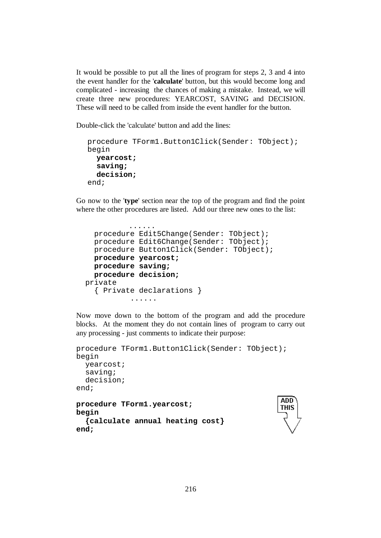It would be possible to put all the lines of program for steps 2, 3 and 4 into the event handler for the '**calculate**' button, but this would become long and complicated - increasing the chances of making a mistake. Instead, we will create three new procedures: YEARCOST, SAVING and DECISION. These will need to be called from inside the event handler for the button.

Double-click the 'calculate' button and add the lines:

```
procedure TForm1.Button1Click(Sender: TObject); 
begin 
   yearcost; 
   saving; 
   decision; 
end;
```
Go now to the '**type**' section near the top of the program and find the point where the other procedures are listed. Add our three new ones to the list:

```
 ...... 
   procedure Edit5Change(Sender: TObject); 
   procedure Edit6Change(Sender: TObject); 
  procedure Button1Click(Sender: TObject); 
   procedure yearcost; 
   procedure saving; 
  procedure decision; 
 private 
   { Private declarations } 
            ......
```
Now move down to the bottom of the program and add the procedure blocks. At the moment they do not contain lines of program to carry out any processing - just comments to indicate their purpose:

```
procedure TForm1.Button1Click(Sender: TObject); 
begin 
   yearcost; 
   saving; 
   decision; 
end; 
                                                    ADD
procedure TForm1.yearcost; 
                                                    THIS
begin 
   {calculate annual heating cost} 
end;
```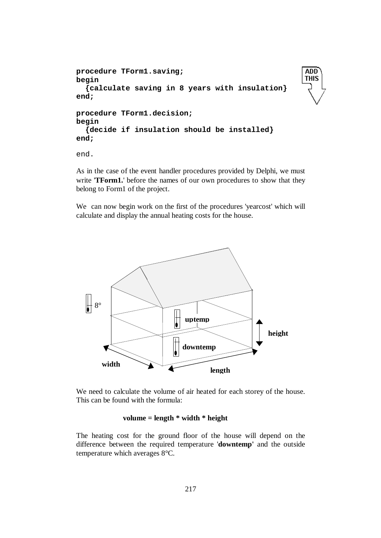```
procedure TForm1.saving; 
begin 
   {calculate saving in 8 years with insulation} 
end; 
procedure TForm1.decision; 
begin 
   {decide if insulation should be installed} 
end;
```
**ADD THIS** 

end.

As in the case of the event handler procedures provided by Delphi, we must write '**TForm1.**' before the names of our own procedures to show that they belong to Form1 of the project.

We can now begin work on the first of the procedures 'yearcost' which will calculate and display the annual heating costs for the house.



We need to calculate the volume of air heated for each storey of the house. This can be found with the formula:

# **volume = length \* width \* height**

The heating cost for the ground floor of the house will depend on the difference between the required temperature '**downtemp'** and the outside temperature which averages 8°C.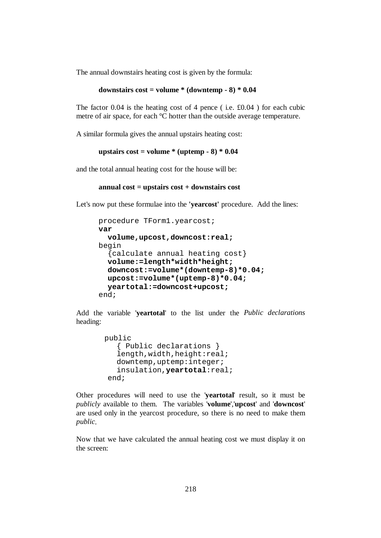The annual downstairs heating cost is given by the formula:

```
downstairs cost = volume * (downtemp - 8) * 0.04
```
The factor 0.04 is the heating cost of 4 pence ( i.e. £0.04 ) for each cubic metre of air space, for each °C hotter than the outside average temperature.

A similar formula gives the annual upstairs heating cost:

```
upstairs cost = volume * (uptemp - 8) * 0.04
```
and the total annual heating cost for the house will be:

```
annual cost = upstairs cost + downstairs cost
```
Let's now put these formulae into the **'yearcost'** procedure. Add the lines:

```
procedure TForm1.yearcost; 
var 
   volume,upcost,downcost:real; 
begin 
   {calculate annual heating cost} 
   volume:=length*width*height; 
   downcost:=volume*(downtemp-8)*0.04; 
   upcost:=volume*(uptemp-8)*0.04; 
   yeartotal:=downcost+upcost; 
end;
```
Add the variable '**yeartotal**' to the list under the *Public declarations* heading:

```
 public 
    { Public declarations } 
   length, width, height: real;
    downtemp,uptemp:integer; 
    insulation,yeartotal:real; 
 end;
```
Other procedures will need to use the '**yeartotal**' result, so it must be *publicly* available to them. The variables '**volume**','**upcost**' and '**downcost**' are used only in the yearcost procedure, so there is no need to make them *public*.

Now that we have calculated the annual heating cost we must display it on the screen: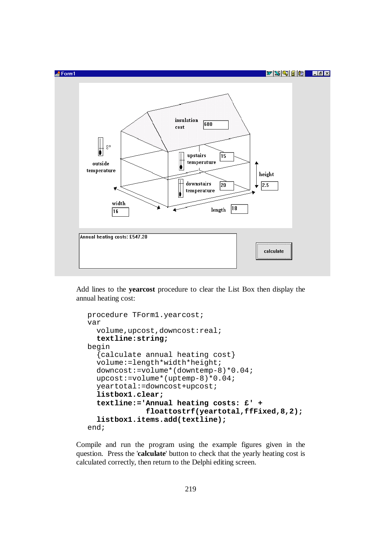

Add lines to the **yearcost** procedure to clear the List Box then display the annual heating cost:

```
procedure TForm1.yearcost; 
var 
   volume,upcost,downcost:real; 
   textline:string; 
begin 
   {calculate annual heating cost} 
   volume:=length*width*height; 
   downcost:=volume*(downtemp-8)*0.04; 
   upcost:=volume*(uptemp-8)*0.04; 
   yeartotal:=downcost+upcost; 
   listbox1.clear; 
   textline:='Annual heating costs: £' + 
               floattostrf(yeartotal,ffFixed,8,2); 
   listbox1.items.add(textline); 
end;
```
Compile and run the program using the example figures given in the question. Press the '**calculate**' button to check that the yearly heating cost is calculated correctly, then return to the Delphi editing screen.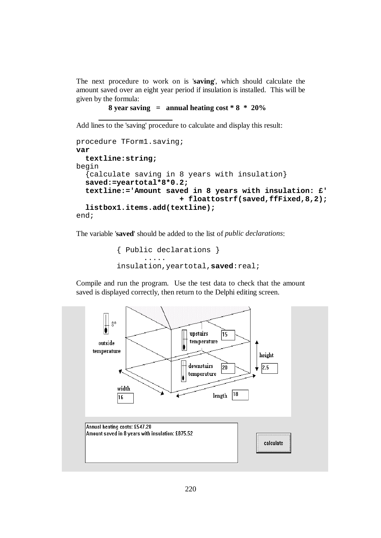The next procedure to work on is '**saving**', which should calculate the amount saved over an eight year period if insulation is installed. This will be given by the formula:

```
 8 year saving = annual heating cost * 8 * 20%
```
Add lines to the 'saving' procedure to calculate and display this result:

```
procedure TForm1.saving; 
var 
   textline:string; 
begin 
   {calculate saving in 8 years with insulation} 
   saved:=yeartotal*8*0.2; 
   textline:='Amount saved in 8 years with insulation: £' 
                          + floattostrf(saved,ffFixed,8,2); 
   listbox1.items.add(textline); 
end;
```
The variable '**saved**' should be added to the list of *public declarations*:

```
 { Public declarations } 
        ..... 
 insulation,yeartotal,saved:real;
```
Compile and run the program. Use the test data to check that the amount saved is displayed correctly, then return to the Delphi editing screen.

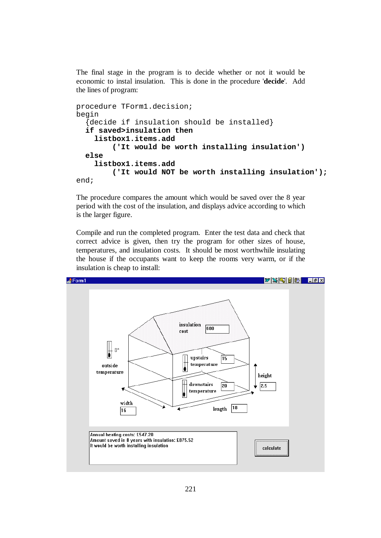The final stage in the program is to decide whether or not it would be economic to instal insulation. This is done in the procedure '**decide**'. Add the lines of program:

```
procedure TForm1.decision; 
begin 
   {decide if insulation should be installed} 
   if saved>insulation then 
     listbox1.items.add 
          ('It would be worth installing insulation')
   else 
     listbox1.items.add 
          ('It would NOT be worth installing insulation'); 
end;
```
The procedure compares the amount which would be saved over the 8 year period with the cost of the insulation, and displays advice according to which is the larger figure.

Compile and run the completed program. Enter the test data and check that correct advice is given, then try the program for other sizes of house, temperatures, and insulation costs. It should be most worthwhile insulating the house if the occupants want to keep the rooms very warm, or if the insulation is cheap to install:

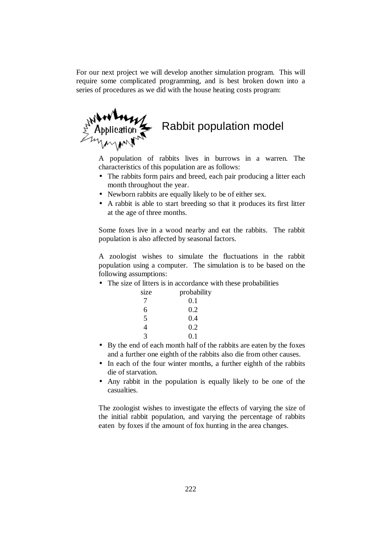For our next project we will develop another simulation program. This will require some complicated programming, and is best broken down into a series of procedures as we did with the house heating costs program:



A population of rabbits lives in burrows in a warren. The characteristics of this population are as follows:

- The rabbits form pairs and breed, each pair producing a litter each month throughout the year.
- Newborn rabbits are equally likely to be of either sex.
- A rabbit is able to start breeding so that it produces its first litter at the age of three months.

Some foxes live in a wood nearby and eat the rabbits. The rabbit population is also affected by seasonal factors.

A zoologist wishes to simulate the fluctuations in the rabbit population using a computer. The simulation is to be based on the following assumptions:

• The size of litters is in accordance with these probabilities

| probability |
|-------------|
| 0.1         |
| 0.2         |
| 0.4         |
| 0.2         |
| 0.1         |
|             |

- By the end of each month half of the rabbits are eaten by the foxes and a further one eighth of the rabbits also die from other causes.
- In each of the four winter months, a further eighth of the rabbits die of starvation.
- Any rabbit in the population is equally likely to be one of the casualties.

The zoologist wishes to investigate the effects of varying the size of the initial rabbit population, and varying the percentage of rabbits eaten by foxes if the amount of fox hunting in the area changes.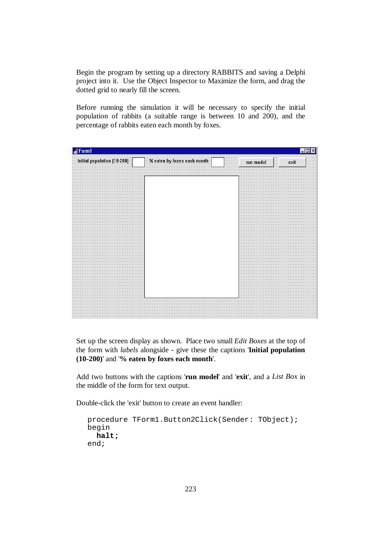Begin the program by setting up a directory RABBITS and saving a Delphi project into it. Use the Object Inspector to Maximize the form, and drag the dotted grid to nearly fill the screen.

Before running the simulation it will be necessary to specify the initial population of rabbits (a suitable range is between 10 and 200), and the percentage of rabbits eaten each month by foxes.

| Form1                                      |                                                                                          |           |                              |                                  |  |  |  |
|--------------------------------------------|------------------------------------------------------------------------------------------|-----------|------------------------------|----------------------------------|--|--|--|
| $\blacksquare$ Initial population (10-200) | % eaten by foxes each month<br>$\alpha$ , $\alpha$ , $\alpha$ , $\alpha$ , $\alpha$<br>. | run model | exit<br>$\ddot{\phantom{0}}$ | $\cdots$<br>$\sim$ $\sim$ $\sim$ |  |  |  |
|                                            |                                                                                          |           |                              |                                  |  |  |  |
|                                            |                                                                                          |           |                              |                                  |  |  |  |
|                                            |                                                                                          |           |                              |                                  |  |  |  |
|                                            |                                                                                          | ×.        |                              |                                  |  |  |  |
|                                            |                                                                                          |           |                              |                                  |  |  |  |
|                                            |                                                                                          |           |                              |                                  |  |  |  |
|                                            |                                                                                          |           |                              |                                  |  |  |  |
|                                            |                                                                                          |           |                              |                                  |  |  |  |
|                                            |                                                                                          |           |                              |                                  |  |  |  |
|                                            |                                                                                          |           |                              |                                  |  |  |  |
|                                            |                                                                                          |           |                              |                                  |  |  |  |
|                                            |                                                                                          |           |                              |                                  |  |  |  |
|                                            |                                                                                          |           |                              |                                  |  |  |  |
|                                            |                                                                                          |           |                              |                                  |  |  |  |
|                                            |                                                                                          |           |                              |                                  |  |  |  |
|                                            |                                                                                          |           |                              |                                  |  |  |  |
|                                            |                                                                                          |           |                              |                                  |  |  |  |
|                                            |                                                                                          |           |                              |                                  |  |  |  |
|                                            |                                                                                          |           |                              |                                  |  |  |  |
|                                            |                                                                                          |           |                              |                                  |  |  |  |
|                                            |                                                                                          |           |                              |                                  |  |  |  |
|                                            |                                                                                          |           |                              |                                  |  |  |  |
|                                            |                                                                                          |           |                              |                                  |  |  |  |
|                                            |                                                                                          |           |                              |                                  |  |  |  |
|                                            |                                                                                          |           |                              |                                  |  |  |  |
|                                            |                                                                                          |           |                              |                                  |  |  |  |
|                                            |                                                                                          |           |                              |                                  |  |  |  |
|                                            |                                                                                          |           |                              |                                  |  |  |  |
|                                            |                                                                                          |           |                              |                                  |  |  |  |
|                                            |                                                                                          |           |                              |                                  |  |  |  |
|                                            |                                                                                          |           |                              |                                  |  |  |  |
|                                            |                                                                                          |           |                              |                                  |  |  |  |
|                                            |                                                                                          |           |                              |                                  |  |  |  |
|                                            |                                                                                          |           |                              |                                  |  |  |  |
|                                            |                                                                                          |           |                              |                                  |  |  |  |
|                                            |                                                                                          |           |                              |                                  |  |  |  |
|                                            |                                                                                          | ×,        |                              |                                  |  |  |  |
|                                            |                                                                                          |           |                              |                                  |  |  |  |
|                                            |                                                                                          |           |                              |                                  |  |  |  |
|                                            |                                                                                          |           |                              |                                  |  |  |  |
|                                            |                                                                                          |           |                              |                                  |  |  |  |
|                                            |                                                                                          |           |                              |                                  |  |  |  |
|                                            |                                                                                          |           |                              |                                  |  |  |  |
|                                            |                                                                                          |           |                              |                                  |  |  |  |

Set up the screen display as shown. Place two small *Edit Boxes* at the top of the form with *labels* alongside - give these the captions '**Initial population (10-200)**' and '**% eaten by foxes each month**'.

Add two buttons with the captions '**run model**' and '**exit**', and a *List Box* in the middle of the form for text output.

Double-click the 'exit' button to create an event handler:

```
procedure TForm1.Button2Click(Sender: TObject); 
begin 
   halt; 
end;
```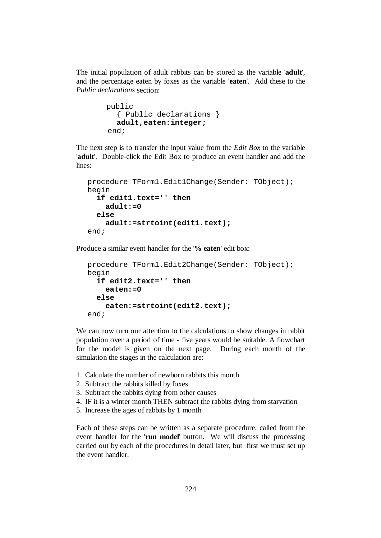The initial population of adult rabbits can be stored as the variable '**adult**', and the percentage eaten by foxes as the variable '**eaten**'. Add these to the *Public declarations* section:

```
 public 
   { Public declarations } 
   adult,eaten:integer; 
 end;
```
The next step is to transfer the input value from the *Edit Box* to the variable '**adult**'. Double-click the Edit Box to produce an event handler and add the lines:

```
procedure TForm1.Edit1Change(Sender: TObject); 
begin 
   if edit1.text='' then 
     adult:=0 
   else 
     adult:=strtoint(edit1.text); 
end;
```
Produce a similar event handler for the '**% eaten**' edit box:

```
procedure TForm1.Edit2Change(Sender: TObject); 
begin 
   if edit2.text='' then 
     eaten:=0 
   else 
     eaten:=strtoint(edit2.text); 
end;
```
We can now turn our attention to the calculations to show changes in rabbit population over a period of time - five years would be suitable. A flowchart for the model is given on the next page. During each month of the simulation the stages in the calculation are:

- 1. Calculate the number of newborn rabbits this month
- 2. Subtract the rabbits killed by foxes
- 3. Subtract the rabbits dying from other causes
- 4. IF it is a winter month THEN subtract the rabbits dying from starvation
- 5. Increase the ages of rabbits by 1 month

Each of these steps can be written as a separate procedure, called from the event handler for the '**run model**' button. We will discuss the processing carried out by each of the procedures in detail later, but first we must set up the event handler.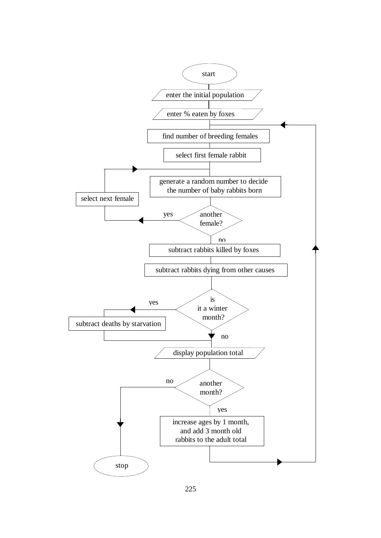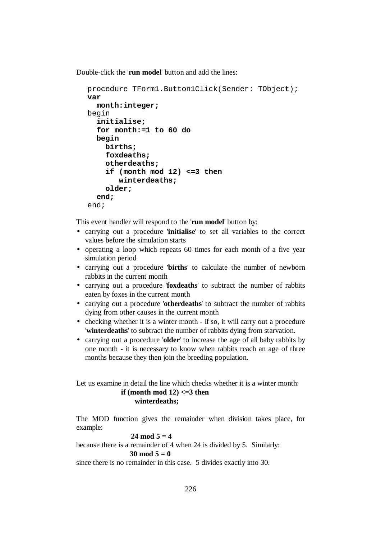Double-click the '**run model**' button and add the lines:

```
procedure TForm1.Button1Click(Sender: TObject); 
var 
   month:integer; 
begin 
   initialise; 
   for month:=1 to 60 do 
   begin 
     births; 
     foxdeaths; 
     otherdeaths; 
      if (month mod 12) <=3 then 
         winterdeaths; 
     older; 
   end; 
end;
```
This event handler will respond to the '**run model**' button by:

- carrying out a procedure '**initialise**' to set all variables to the correct values before the simulation starts
- operating a loop which repeats 60 times for each month of a five year simulation period
- carrying out a procedure '**births**' to calculate the number of newborn rabbits in the current month
- carrying out a procedure '**foxdeaths**' to subtract the number of rabbits eaten by foxes in the current month
- carrying out a procedure '**otherdeaths**' to subtract the number of rabbits dying from other causes in the current month
- checking whether it is a winter month if so, it will carry out a procedure '**winterdeaths**' to subtract the number of rabbits dying from starvation.
- carrying out a procedure '**older**' to increase the age of all baby rabbits by one month - it is necessary to know when rabbits reach an age of three months because they then join the breeding population.

Let us examine in detail the line which checks whether it is a winter month: **if (month mod 12) <=3 then winterdeaths;** 

The MOD function gives the remainder when division takes place, for example:

$$
24 \bmod 5 = 4
$$

because there is a remainder of 4 when 24 is divided by 5. Similarly:

30 mod  $5 = 0$ 

since there is no remainder in this case. 5 divides exactly into 30.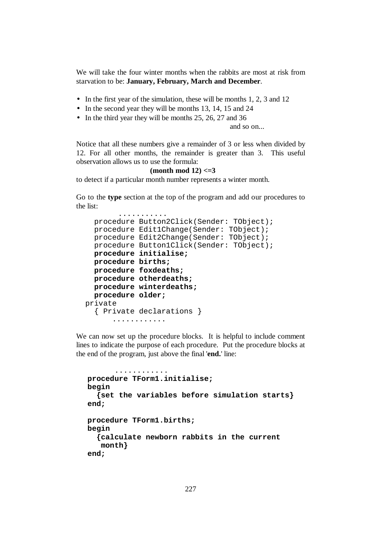We will take the four winter months when the rabbits are most at risk from starvation to be: **January, February, March and December**.

- In the first year of the simulation, these will be months 1, 2, 3 and 12
- In the second year they will be months 13, 14, 15 and 24
- In the third year they will be months 25, 26, 27 and 36

and so on...

Notice that all these numbers give a remainder of 3 or less when divided by 12. For all other months, the remainder is greater than 3. This useful observation allows us to use the formula:

#### **(month mod 12) <=3**

to detect if a particular month number represents a winter month.

Go to the **type** section at the top of the program and add our procedures to the list:

```
 ........... 
   procedure Button2Click(Sender: TObject); 
   procedure Edit1Change(Sender: TObject); 
   procedure Edit2Change(Sender: TObject); 
   procedure Button1Click(Sender: TObject); 
   procedure initialise; 
   procedure births; 
   procedure foxdeaths; 
   procedure otherdeaths; 
   procedure winterdeaths; 
   procedure older; 
 private 
   { Private declarations } 
       ............
```
We can now set up the procedure blocks. It is helpful to include comment lines to indicate the purpose of each procedure. Put the procedure blocks at the end of the program, just above the final '**end.**' line:

```
 ............ 
procedure TForm1.initialise; 
begin 
   {set the variables before simulation starts} 
end; 
procedure TForm1.births; 
begin 
   {calculate newborn rabbits in the current 
    month} 
end;
```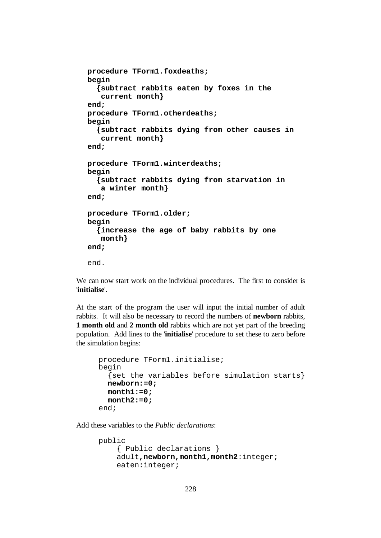```
procedure TForm1.foxdeaths; 
begin 
   {subtract rabbits eaten by foxes in the 
    current month} 
end; 
procedure TForm1.otherdeaths; 
begin 
   {subtract rabbits dying from other causes in 
    current month} 
end; 
procedure TForm1.winterdeaths; 
begin 
   {subtract rabbits dying from starvation in 
    a winter month} 
end; 
procedure TForm1.older; 
begin 
   {increase the age of baby rabbits by one 
    month} 
end; 
end.
```
We can now start work on the individual procedures. The first to consider is '**initialise**'.

At the start of the program the user will input the initial number of adult rabbits. It will also be necessary to record the numbers of **newborn** rabbits, **1 month old** and **2 month old** rabbits which are not yet part of the breeding population. Add lines to the '**initialise**' procedure to set these to zero before the simulation begins:

```
procedure TForm1.initialise; 
begin 
   {set the variables before simulation starts} 
   newborn:=0; 
   month1:=0; 
   month2:=0; 
end;
```
Add these variables to the *Public declarations*:

```
public 
     { Public declarations } 
     adult,newborn,month1,month2:integer; 
     eaten:integer;
```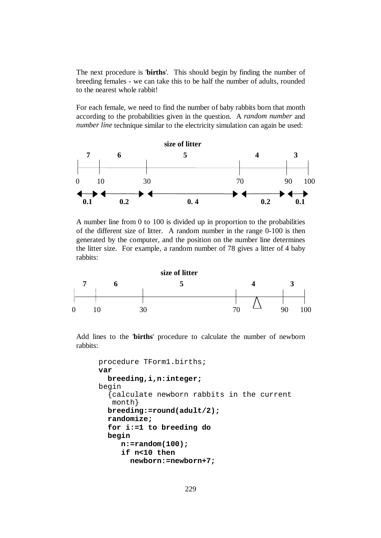The next procedure is '**births**'. This should begin by finding the number of breeding females - we can take this to be half the number of adults, rounded to the nearest whole rabbit!

For each female, we need to find the number of baby rabbits born that month according to the probabilities given in the question. A *random number* and *number line* technique similar to the electricity simulation can again be used:



A number line from 0 to 100 is divided up in proportion to the probabilities of the different size of litter. A random number in the range 0-100 is then generated by the computer, and the position on the number line determines the litter size. For example, a random number of 78 gives a litter of 4 baby rabbits:



Add lines to the '**births**' procedure to calculate the number of newborn rabbits:

```
procedure TForm1.births; 
var 
   breeding,i,n:integer; 
begin 
   {calculate newborn rabbits in the current 
    month} 
   breeding:=round(adult/2); 
   randomize; 
   for i:=1 to breeding do 
   begin 
      n:=random(100); 
      if n<10 then 
         newborn:=newborn+7;
```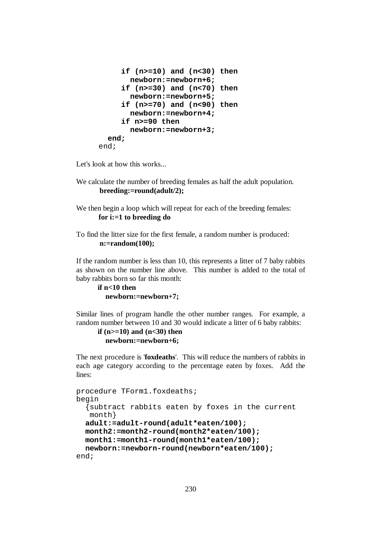```
 if (n>=10) and (n<30) then 
        newborn:=newborn+6; 
      if (n>=30) and (n<70) then 
         newborn:=newborn+5; 
      if (n>=70) and (n<90) then 
        newborn:=newborn+4; 
      if n>=90 then 
        newborn:=newborn+3; 
   end; 
end;
```
Let's look at how this works...

- We calculate the number of breeding females as half the adult population.  **breeding:=round(adult/2);**
- We then begin a loop which will repeat for each of the breeding females: **for i:=1 to breeding do**
- To find the litter size for the first female, a random number is produced:  **n:=random(100);**

If the random number is less than 10, this represents a litter of 7 baby rabbits as shown on the number line above. This number is added to the total of baby rabbits born so far this month:

```
 if n<10 then 
   newborn:=newborn+7;
```
Similar lines of program handle the other number ranges. For example, a random number between 10 and 30 would indicate a litter of 6 baby rabbits:

```
 if (n>=10) and (n<30) then 
   newborn:=newborn+6;
```
The next procedure is '**foxdeaths**'. This will reduce the numbers of rabbits in each age category according to the percentage eaten by foxes. Add the lines:

```
procedure TForm1.foxdeaths; 
begin 
   {subtract rabbits eaten by foxes in the current 
    month} 
   adult:=adult-round(adult*eaten/100); 
   month2:=month2-round(month2*eaten/100); 
  month1:=month1-round(month1*eaten/100); 
   newborn:=newborn-round(newborn*eaten/100); 
end;
```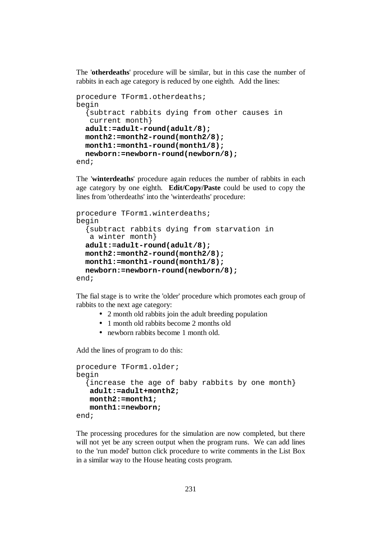The '**otherdeaths**' procedure will be similar, but in this case the number of rabbits in each age category is reduced by one eighth. Add the lines:

```
procedure TForm1.otherdeaths; 
begin 
   {subtract rabbits dying from other causes in 
    current month} 
   adult:=adult-round(adult/8); 
   month2:=month2-round(month2/8); 
   month1:=month1-round(month1/8); 
   newborn:=newborn-round(newborn/8); 
end;
```
The '**winterdeaths**' procedure again reduces the number of rabbits in each age category by one eighth. **Edit/Copy/Paste** could be used to copy the lines from 'otherdeaths' into the 'winterdeaths' procedure:

```
procedure TForm1.winterdeaths; 
begin 
   {subtract rabbits dying from starvation in 
    a winter month} 
   adult:=adult-round(adult/8); 
   month2:=month2-round(month2/8); 
   month1:=month1-round(month1/8); 
   newborn:=newborn-round(newborn/8); 
end;
```
The fial stage is to write the 'older' procedure which promotes each group of rabbits to the next age category:

- 2 month old rabbits join the adult breeding population
- 1 month old rabbits become 2 months old
- newborn rabbits become 1 month old.

Add the lines of program to do this:

```
procedure TForm1.older; 
begin 
   {increase the age of baby rabbits by one month} 
    adult:=adult+month2; 
    month2:=month1; 
    month1:=newborn; 
end;
```
The processing procedures for the simulation are now completed, but there will not yet be any screen output when the program runs. We can add lines to the 'run model' button click procedure to write comments in the List Box in a similar way to the House heating costs program.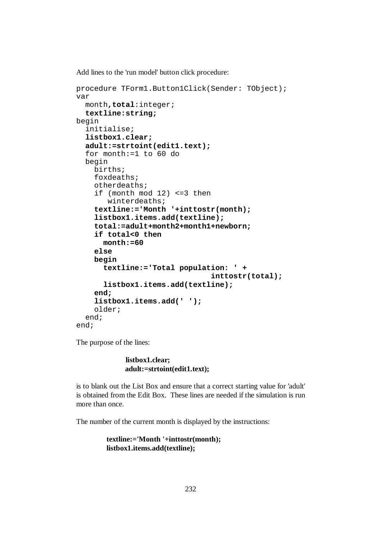Add lines to the 'run model' button click procedure:

```
procedure TForm1.Button1Click(Sender: TObject); 
var 
   month,total:integer; 
   textline:string; 
begin 
   initialise; 
   listbox1.clear; 
   adult:=strtoint(edit1.text); 
   for month:=1 to 60 do 
   begin 
     births; 
     foxdeaths; 
     otherdeaths; 
     if (month mod 12) <=3 then 
         winterdeaths; 
     textline:='Month '+inttostr(month); 
     listbox1.items.add(textline); 
     total:=adult+month2+month1+newborn; 
     if total<0 then 
       month:=60 
     else 
     begin 
        textline:='Total population: ' + 
                                   inttostr(total); 
        listbox1.items.add(textline); 
     end; 
     listbox1.items.add(' '); 
     older; 
   end; 
end;
```
The purpose of the lines:

### **listbox1.clear; adult:=strtoint(edit1.text);**

is to blank out the List Box and ensure that a correct starting value for 'adult' is obtained from the Edit Box. These lines are needed if the simulation is run more than once.

The number of the current month is displayed by the instructions:

```
 textline:='Month '+inttostr(month); 
 listbox1.items.add(textline);
```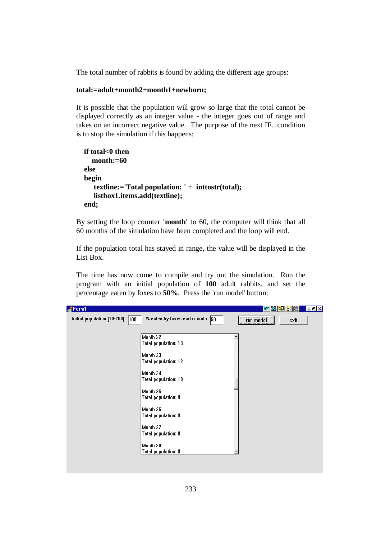The total number of rabbits is found by adding the different age groups:

## **total:=adult+month2+month1+newborn;**

It is possible that the population will grow so large that the total cannot be displayed correctly as an integer value - the integer goes out of range and takes on an incorrect negative value. The purpose of the next IF.. condition is to stop the simulation if this happens:

```
 if total<0 then 
   month:=60 
 else 
 begin 
    textline:='Total population: ' + inttostr(total); 
    listbox1.items.add(textline); 
 end;
```
By setting the loop counter **'month'** to 60, the computer will think that all 60 months of the simulation have been completed and the loop will end.

If the population total has stayed in range, the value will be displayed in the List Box.

The time has now come to compile and try out the simulation. Run the program with an initial population of **100** adult rabbits, and set the percentage eaten by foxes to **50%**. Press the 'run model' button:

| Form1                       |                                                                                                                                                                                     | <u>wsciel</u>            | $\boxed{\Box}$ $\boxed{\Box}$ |
|-----------------------------|-------------------------------------------------------------------------------------------------------------------------------------------------------------------------------------|--------------------------|-------------------------------|
| Initial population (10-200) | % eaten by foxes each month 50<br>$ 100\rangle$                                                                                                                                     | exit<br><b>Example 1</b> |                               |
|                             | Month 22<br><b>Total population: 13</b><br>Month 23<br><b>Total population: 12</b><br>Month 24<br><b>Total population: 10</b><br>Month 25<br><b>Total population: 9</b><br>Month 26 |                          |                               |
|                             | <b>Total population: 9</b><br>Month 27<br><b>Total population: 8</b><br>Month 28<br><b>Total population: 8</b>                                                                      |                          |                               |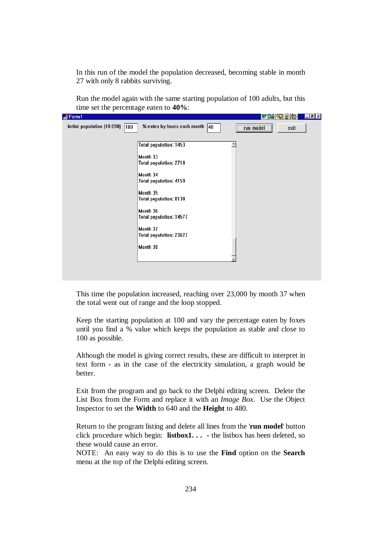In this run of the model the population decreased, becoming stable in month 27 with only 8 rabbits surviving.

Run the model again with the same starting population of 100 adults, but this time set the percentage eaten to **40%**:

| orm1 <b>A</b>                                |                                                                                                                                                                                                                                                                  |           | <u>WXHHR</u> | 모리즈 |
|----------------------------------------------|------------------------------------------------------------------------------------------------------------------------------------------------------------------------------------------------------------------------------------------------------------------|-----------|--------------|-----|
| Initial population (10-200)<br>$ 100\rangle$ | % eaten by foxes each month $\boxed{40}$                                                                                                                                                                                                                         | run model | exit         |     |
|                                              | <b>Total population: 1453</b><br>Month 33<br><b>Total population: 2718</b><br>Month 34<br><b>Total population: 4159</b><br>Month 35<br><b>Total population: 8130</b><br>Month 36<br><b>Total population: 14577</b><br>Month 37<br><b>Total population: 23627</b> |           |              |     |
|                                              | Month 38                                                                                                                                                                                                                                                         |           |              |     |

This time the population increased, reaching over 23,000 by month 37 when the total went out of range and the loop stopped.

Keep the starting population at 100 and vary the percentage eaten by foxes until you find a % value which keeps the population as stable and close to 100 as possible.

Although the model is giving correct results, these are difficult to interpret in text form - as in the case of the electricity simulation, a graph would be better.

Exit from the program and go back to the Delphi editing screen. Delete the List Box from the Form and replace it with an *Image Box*. Use the Object Inspector to set the **Width** to 640 and the **Height** to 480.

Return to the program listing and delete all lines from the '**run model**' button click procedure which begin: **listbox1. . . -** the listbox has been deleted, so these would cause an error.

NOTE: An easy way to do this is to use the **Find** option on the **Search** menu at the top of the Delphi editing screen.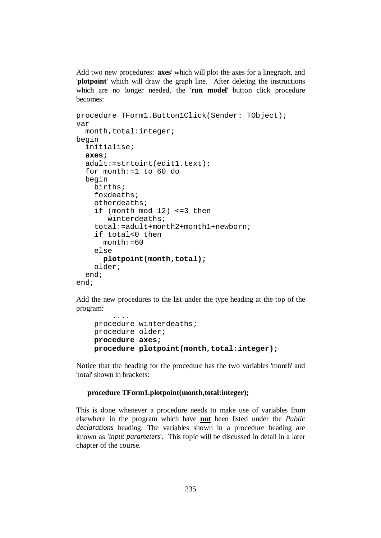Add two new procedures: '**axes**' which will plot the axes for a linegraph, and '**plotpoint**' which will draw the graph line. After deleting the instructions which are no longer needed, the '**run model**' button click procedure becomes:

```
procedure TForm1.Button1Click(Sender: TObject); 
var 
   month,total:integer; 
begin 
   initialise; 
   axes; 
   adult:=strtoint(edit1.text); 
   for month:=1 to 60 do 
   begin 
     births; 
     foxdeaths; 
     otherdeaths; 
     if (month mod 12) <=3 then 
         winterdeaths; 
     total:=adult+month2+month1+newborn; 
     if total<0 then 
      month:=60 else 
       plotpoint(month,total); 
     older; 
   end; 
end;
```
Add the new procedures to the list under the type heading at the top of the program:

```
 .... 
 procedure winterdeaths; 
 procedure older; 
 procedure axes; 
 procedure plotpoint(month,total:integer);
```
Notice that the heading for the procedure has the two variables 'month' and 'total' shown in brackets:

#### **procedure TForm1.plotpoint(month,total:integer);**

This is done whenever a procedure needs to make use of variables from elsewhere in the program which have **not** been listed under the *Public declarations* heading. The variables shown in a procedure heading are known as *'input parameters*'. This topic will be discussed in detail in a later chapter of the course.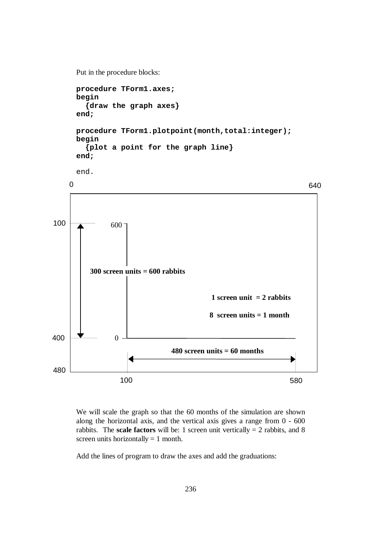```
Put in the procedure blocks:
```

```
procedure TForm1.axes; 
begin 
   {draw the graph axes} 
end; 
procedure TForm1.plotpoint(month,total:integer); 
begin 
   {plot a point for the graph line} 
end; 
end.
```


We will scale the graph so that the 60 months of the simulation are shown along the horizontal axis, and the vertical axis gives a range from 0 - 600 rabbits. The **scale factors** will be: 1 screen unit vertically  $= 2$  rabbits, and 8 screen units horizontally  $= 1$  month.

Add the lines of program to draw the axes and add the graduations: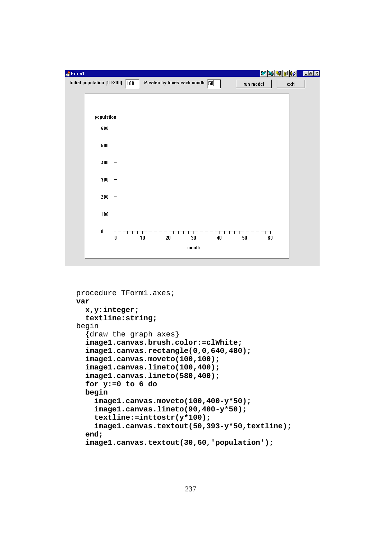

```
procedure TForm1.axes; 
var 
   x,y:integer; 
   textline:string; 
begin 
   {draw the graph axes} 
   image1.canvas.brush.color:=clWhite; 
   image1.canvas.rectangle(0,0,640,480); 
   image1.canvas.moveto(100,100); 
   image1.canvas.lineto(100,400); 
   image1.canvas.lineto(580,400); 
   for y:=0 to 6 do 
   begin 
     image1.canvas.moveto(100,400-y*50); 
     image1.canvas.lineto(90,400-y*50); 
     textline:=inttostr(y*100); 
     image1.canvas.textout(50,393-y*50,textline); 
   end; 
   image1.canvas.textout(30,60,'population');
```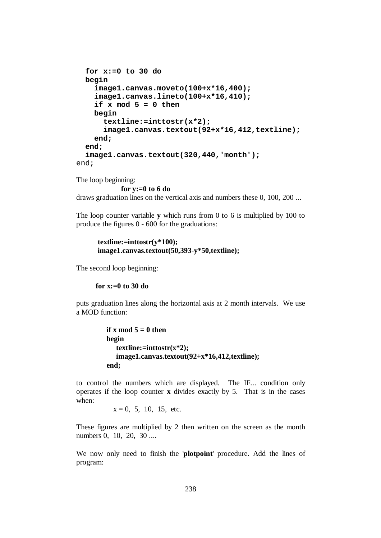```
 for x:=0 to 30 do 
   begin 
     image1.canvas.moveto(100+x*16,400); 
     image1.canvas.lineto(100+x*16,410); 
     if x mod 5 = 0 then 
     begin 
       textline:=inttostr(x*2); 
       image1.canvas.textout(92+x*16,412,textline); 
     end; 
   end; 
   image1.canvas.textout(320,440,'month'); 
end;
```
The loop beginning:

**for y:=0 to 6 do** 

draws graduation lines on the vertical axis and numbers these 0, 100, 200 ...

The loop counter variable **y** which runs from 0 to 6 is multiplied by 100 to produce the figures 0 - 600 for the graduations:

$$
textline:=\frac{inttostr(y*100);}{imagel.canvas.textout(50,393-y*50,textline);}
$$

The second loop beginning:

 **for x:=0 to 30 do** 

puts graduation lines along the horizontal axis at 2 month intervals. We use a MOD function:

```
if x mod 5 = 0 then
 begin 
    textline:=inttostr(x*2); 
    image1.canvas.textout(92+x*16,412,textline); 
 end;
```
to control the numbers which are displayed. The IF... condition only operates if the loop counter **x** divides exactly by 5. That is in the cases when:

 $x = 0$ , 5, 10, 15, etc.

These figures are multiplied by 2 then written on the screen as the month numbers 0, 10, 20, 30 ....

We now only need to finish the '**plotpoint**' procedure. Add the lines of program: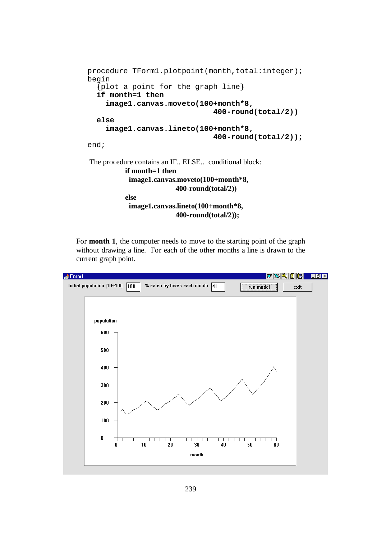```
procedure TForm1.plotpoint(month,total:integer);
begin 
   {plot a point for the graph line} 
   if month=1 then 
      image1.canvas.moveto(100+month*8, 
                                    400-round(total/2)) 
   else 
      image1.canvas.lineto(100+month*8, 
                                    400-round(total/2)); 
end; 
The procedure contains an IF.. ELSE.. conditional block: 
           if month=1 then 
            image1.canvas.moveto(100+month*8, 
                         400-round(total/2)) 
           else 
            image1.canvas.lineto(100+month*8, 
                         400-round(total/2));
```
For **month 1**, the computer needs to move to the starting point of the graph without drawing a line. For each of the other months a line is drawn to the current graph point.